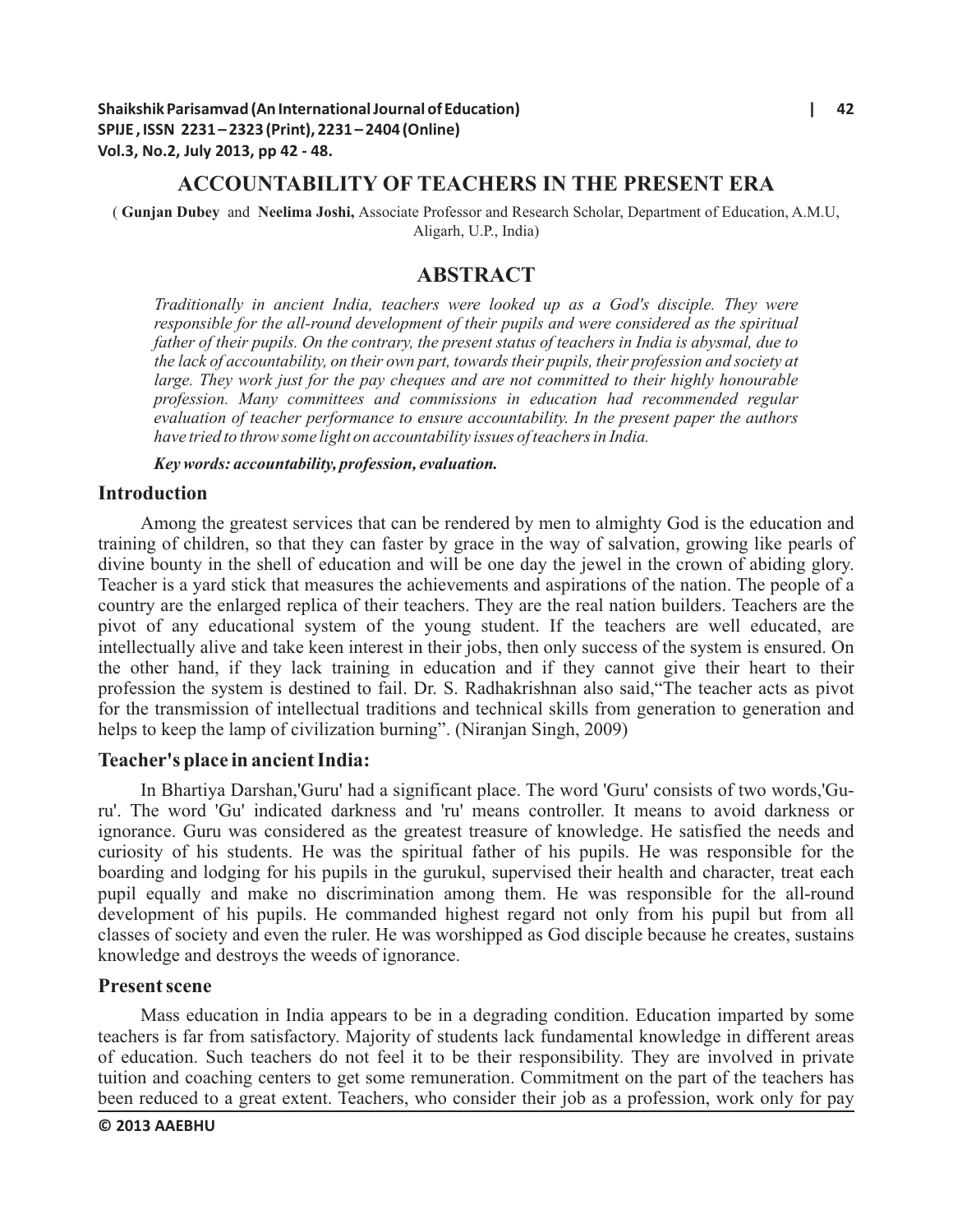### **ACCOUNTABILITY OF TEACHERS IN THE PRESENT ERA**

( **Gunjan Dubey** and **Neelima Joshi,** Associate Professor and Research Scholar, Department of Education, A.M.U, Aligarh, U.P., India)

## **ABSTRACT**

*Traditionally in ancient India, teachers were looked up as a God's disciple. They were responsible for the all-round development of their pupils and were considered as the spiritual father of their pupils. On the contrary, the present status of teachers in India is abysmal, due to the lack of accountability, on their own part, towards their pupils, their profession and society at large. They work just for the pay cheques and are not committed to their highly honourable profession. Many committees and commissions in education had recommended regular evaluation of teacher performance to ensure accountability. In the present paper the authors have tried to throw some light on accountability issues of teachers in India.*

*Key words: accountability, profession, evaluation.*

### **Introduction**

Among the greatest services that can be rendered by men to almighty God is the education and training of children, so that they can faster by grace in the way of salvation, growing like pearls of divine bounty in the shell of education and will be one day the jewel in the crown of abiding glory. Teacher is a yard stick that measures the achievements and aspirations of the nation. The people of a country are the enlarged replica of their teachers. They are the real nation builders. Teachers are the pivot of any educational system of the young student. If the teachers are well educated, are intellectually alive and take keen interest in their jobs, then only success of the system is ensured. On the other hand, if they lack training in education and if they cannot give their heart to their profession the system is destined to fail. Dr. S. Radhakrishnan also said,"The teacher acts as pivot for the transmission of intellectual traditions and technical skills from generation to generation and helps to keep the lamp of civilization burning". (Niranjan Singh, 2009)

### **Teacher's place in ancient India:**

In Bhartiya Darshan,'Guru' had a significant place. The word 'Guru' consists of two words,'Guru'. The word 'Gu' indicated darkness and 'ru' means controller. It means to avoid darkness or ignorance. Guru was considered as the greatest treasure of knowledge. He satisfied the needs and curiosity of his students. He was the spiritual father of his pupils. He was responsible for the boarding and lodging for his pupils in the gurukul, supervised their health and character, treat each pupil equally and make no discrimination among them. He was responsible for the all-round development of his pupils. He commanded highest regard not only from his pupil but from all classes of society and even the ruler. He was worshipped as God disciple because he creates, sustains knowledge and destroys the weeds of ignorance.

#### **Present scene**

Mass education in India appears to be in a degrading condition. Education imparted by some teachers is far from satisfactory. Majority of students lack fundamental knowledge in different areas of education. Such teachers do not feel it to be their responsibility. They are involved in private tuition and coaching centers to get some remuneration. Commitment on the part of the teachers has been reduced to a great extent. Teachers, who consider their job as a profession, work only for pay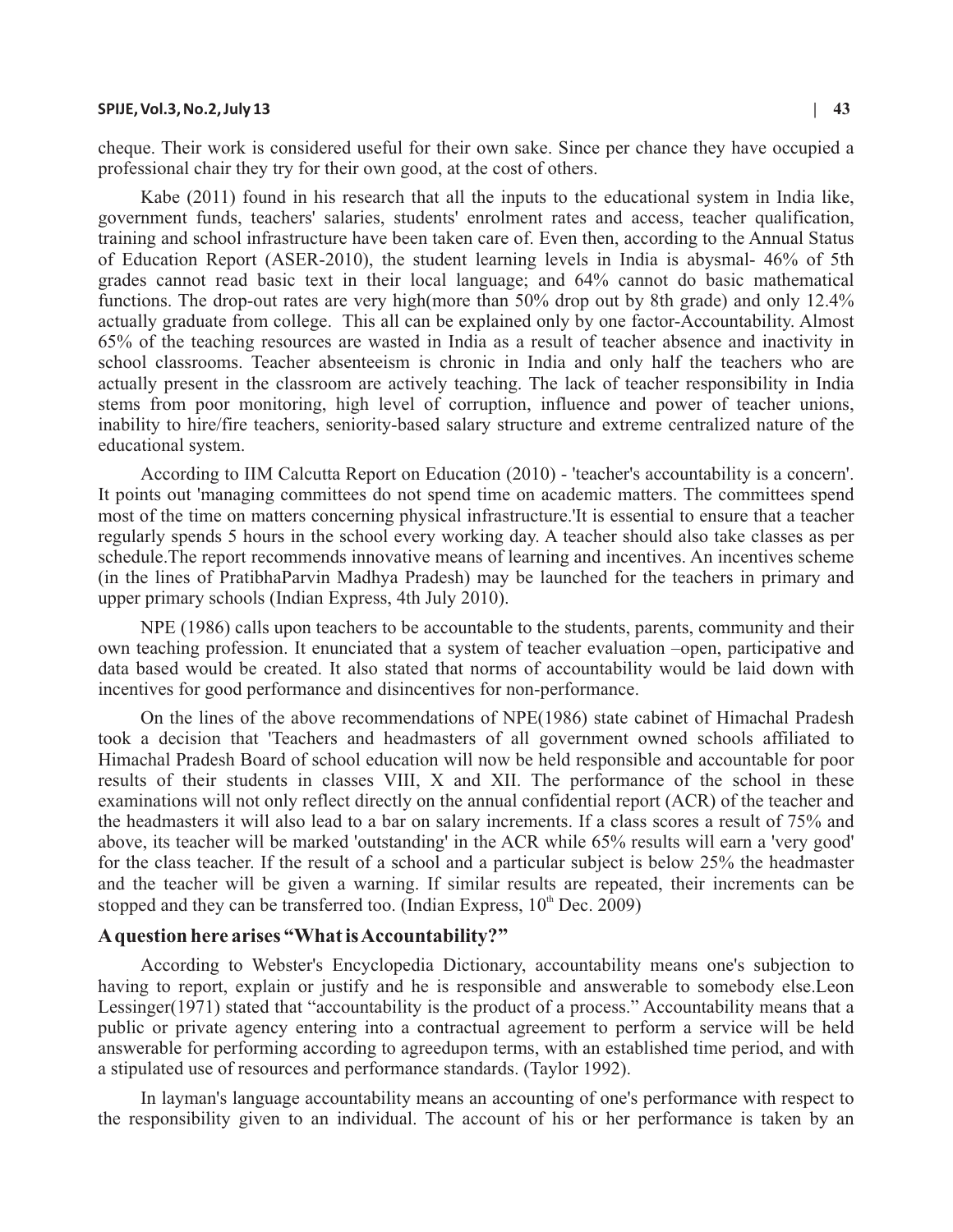#### **SPIJE, Vol.3, No.2, July 13 | 43**

cheque. Their work is considered useful for their own sake. Since per chance they have occupied a professional chair they try for their own good, at the cost of others.

Kabe (2011) found in his research that all the inputs to the educational system in India like, government funds, teachers' salaries, students' enrolment rates and access, teacher qualification, training and school infrastructure have been taken care of. Even then, according to the Annual Status of Education Report (ASER-2010), the student learning levels in India is abysmal- 46% of 5th grades cannot read basic text in their local language; and 64% cannot do basic mathematical functions. The drop-out rates are very high(more than 50% drop out by 8th grade) and only 12.4% actually graduate from college. This all can be explained only by one factor-Accountability. Almost 65% of the teaching resources are wasted in India as a result of teacher absence and inactivity in school classrooms. Teacher absenteeism is chronic in India and only half the teachers who are actually present in the classroom are actively teaching. The lack of teacher responsibility in India stems from poor monitoring, high level of corruption, influence and power of teacher unions, inability to hire/fire teachers, seniority-based salary structure and extreme centralized nature of the educational system.

According to IIM Calcutta Report on Education (2010) - 'teacher's accountability is a concern'. It points out 'managing committees do not spend time on academic matters. The committees spend most of the time on matters concerning physical infrastructure.'It is essential to ensure that a teacher regularly spends 5 hours in the school every working day. A teacher should also take classes as per schedule.The report recommends innovative means of learning and incentives. An incentives scheme (in the lines of PratibhaParvin Madhya Pradesh) may be launched for the teachers in primary and upper primary schools (Indian Express, 4th July 2010).

NPE (1986) calls upon teachers to be accountable to the students, parents, community and their own teaching profession. It enunciated that a system of teacher evaluation –open, participative and data based would be created. It also stated that norms of accountability would be laid down with incentives for good performance and disincentives for non-performance.

On the lines of the above recommendations of NPE(1986) state cabinet of Himachal Pradesh took a decision that 'Teachers and headmasters of all government owned schools affiliated to Himachal Pradesh Board of school education will now be held responsible and accountable for poor results of their students in classes VIII, X and XII. The performance of the school in these examinations will not only reflect directly on the annual confidential report (ACR) of the teacher and the headmasters it will also lead to a bar on salary increments. If a class scores a result of 75% and above, its teacher will be marked 'outstanding' in the ACR while 65% results will earn a 'very good' for the class teacher. If the result of a school and a particular subject is below 25% the headmaster and the teacher will be given a warning. If similar results are repeated, their increments can be stopped and they can be transferred too. (Indian Express,  $10<sup>th</sup>$  Dec. 2009)

## **Aquestion here arises "What is Accountability?"**

According to Webster's Encyclopedia Dictionary, accountability means one's subjection to having to report, explain or justify and he is responsible and answerable to somebody else.Leon Lessinger(1971) stated that "accountability is the product of a process." Accountability means that a public or private agency entering into a contractual agreement to perform a service will be held answerable for performing according to agreedupon terms, with an established time period, and with a stipulated use of resources and performance standards. (Taylor 1992).

In layman's language accountability means an accounting of one's performance with respect to the responsibility given to an individual. The account of his or her performance is taken by an